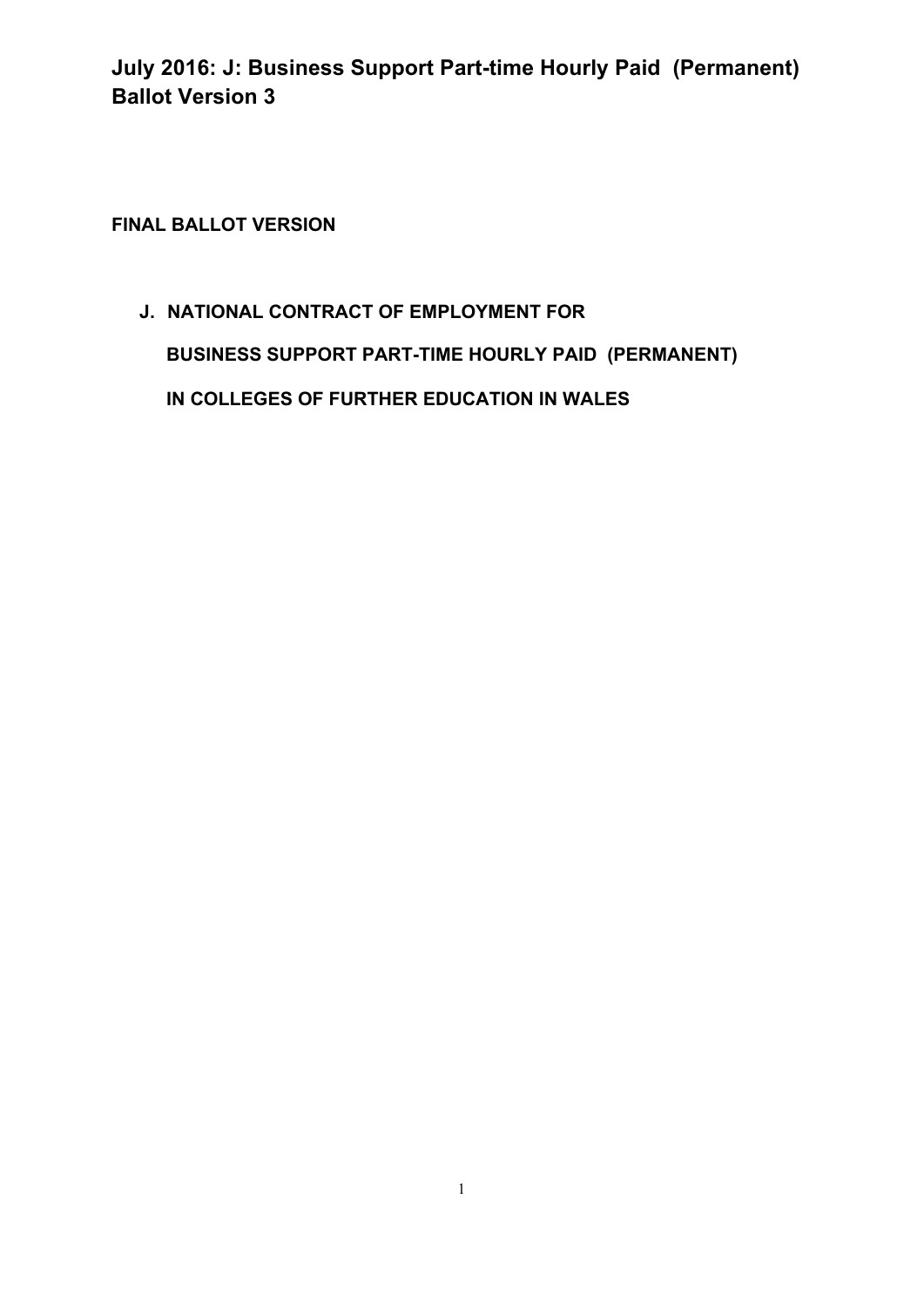**FINAL BALLOT VERSION** 

**J. NATIONAL CONTRACT OF EMPLOYMENT FOR BUSINESS SUPPORT PART-TIME HOURLY PAID (PERMANENT) IN COLLEGES OF FURTHER EDUCATION IN WALES**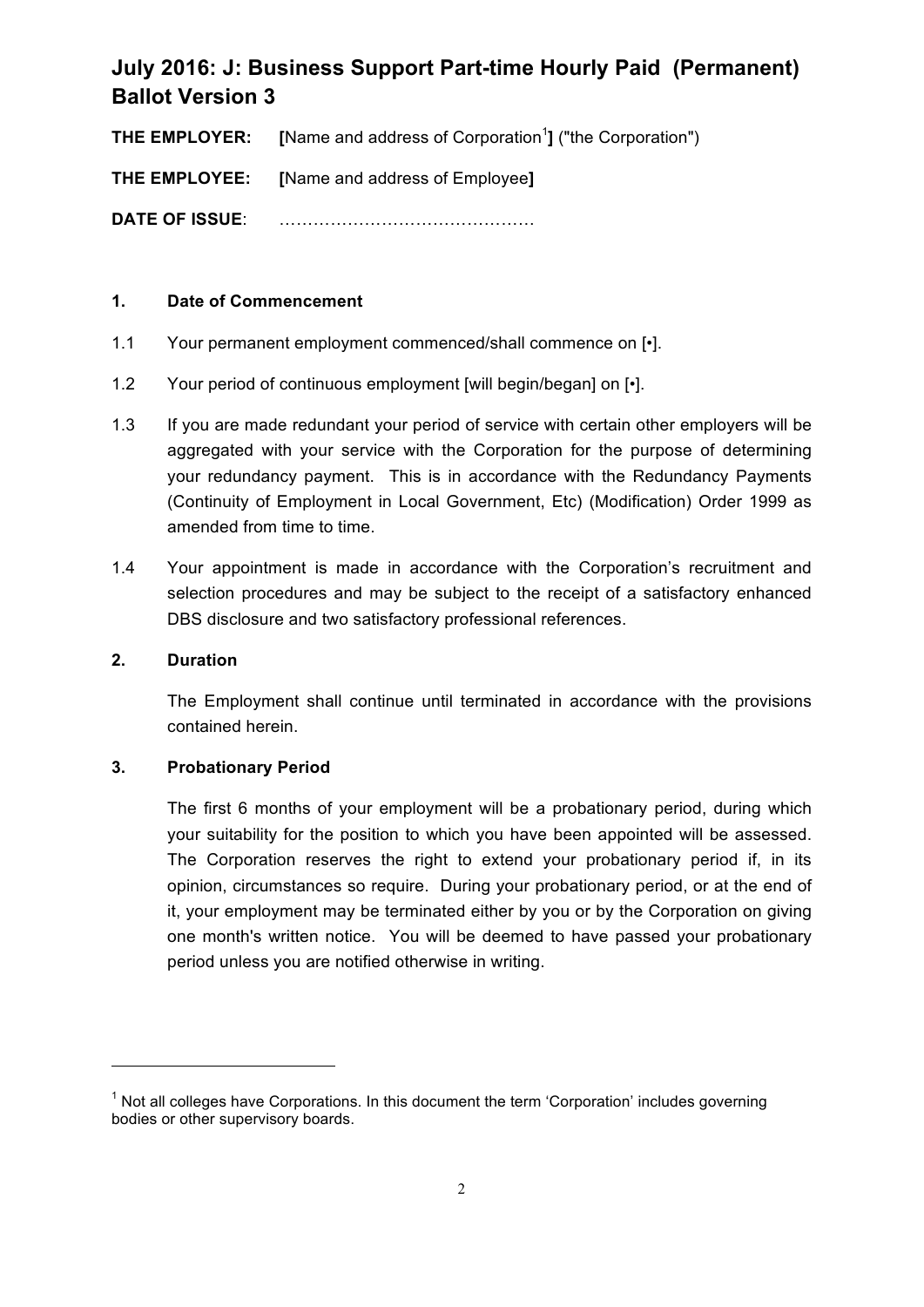**THE EMPLOYER:** [Name and address of Corporation<sup>1</sup>] ("the Corporation")

**THE EMPLOYEE: [**Name and address of Employee**]**

**DATE OF ISSUE**: ………………………………………

## **1. Date of Commencement**

- 1.1 Your permanent employment commenced/shall commence on  $\lceil \cdot \rceil$ .
- 1.2 Your period of continuous employment [will begin/began] on [•].
- 1.3 If you are made redundant your period of service with certain other employers will be aggregated with your service with the Corporation for the purpose of determining your redundancy payment. This is in accordance with the Redundancy Payments (Continuity of Employment in Local Government, Etc) (Modification) Order 1999 as amended from time to time.
- 1.4 Your appointment is made in accordance with the Corporation's recruitment and selection procedures and may be subject to the receipt of a satisfactory enhanced DBS disclosure and two satisfactory professional references.

### **2. Duration**

The Employment shall continue until terminated in accordance with the provisions contained herein.

### **3. Probationary Period**

<u> 1989 - Jan Samuel Barbara, político establecido de la provincia de la provincia de la provincia de la provinci</u>

The first 6 months of your employment will be a probationary period, during which your suitability for the position to which you have been appointed will be assessed. The Corporation reserves the right to extend your probationary period if, in its opinion, circumstances so require. During your probationary period, or at the end of it, your employment may be terminated either by you or by the Corporation on giving one month's written notice. You will be deemed to have passed your probationary period unless you are notified otherwise in writing.

 $<sup>1</sup>$  Not all colleges have Corporations. In this document the term 'Corporation' includes governing</sup> bodies or other supervisory boards.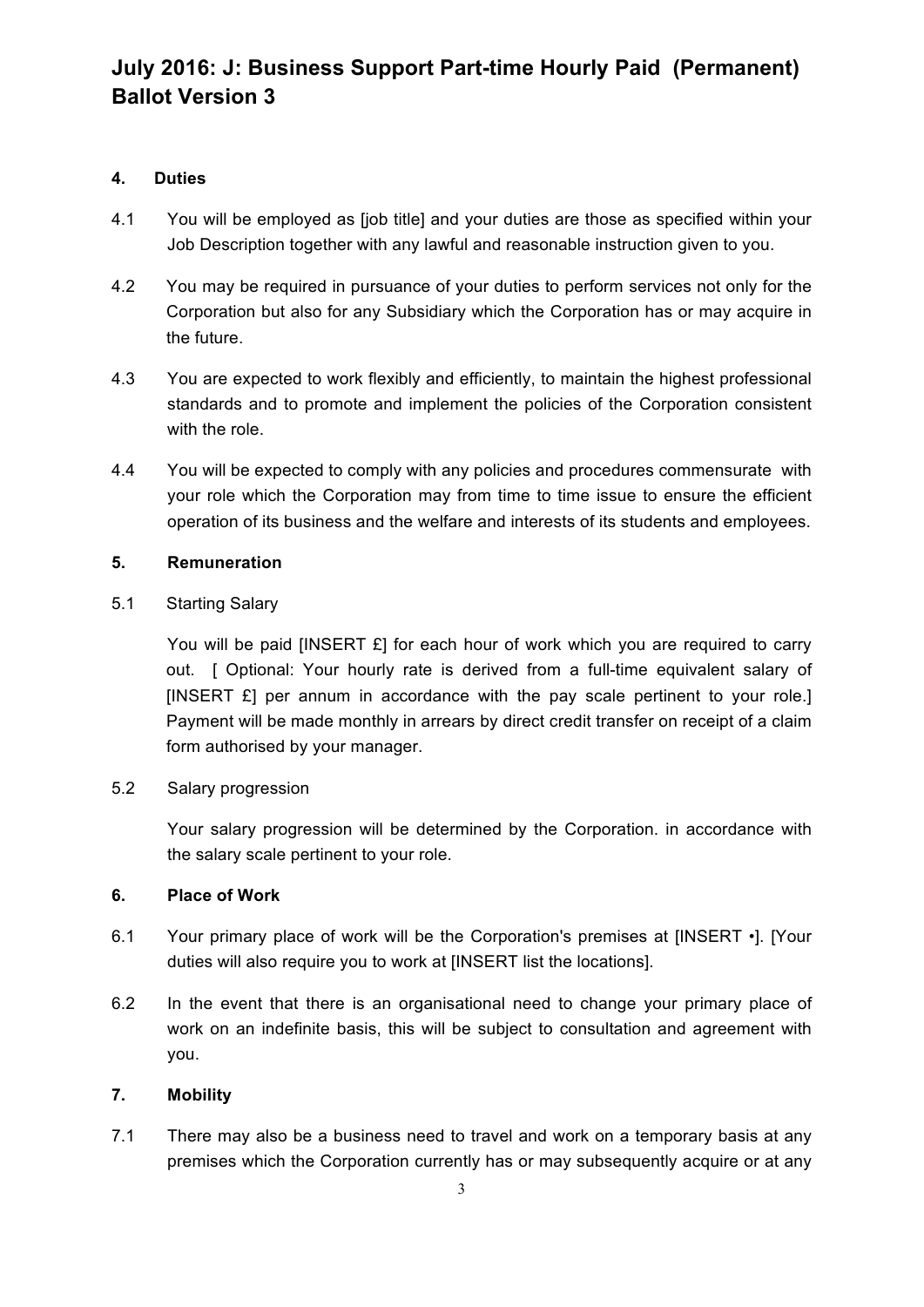## **4. Duties**

- 4.1 You will be employed as [job title] and your duties are those as specified within your Job Description together with any lawful and reasonable instruction given to you.
- 4.2 You may be required in pursuance of your duties to perform services not only for the Corporation but also for any Subsidiary which the Corporation has or may acquire in the future.
- 4.3 You are expected to work flexibly and efficiently, to maintain the highest professional standards and to promote and implement the policies of the Corporation consistent with the role.
- 4.4 You will be expected to comply with any policies and procedures commensurate with your role which the Corporation may from time to time issue to ensure the efficient operation of its business and the welfare and interests of its students and employees.

### **5. Remuneration**

5.1 Starting Salary

You will be paid [INSERT £] for each hour of work which you are required to carry out. [ Optional: Your hourly rate is derived from a full-time equivalent salary of [INSERT £] per annum in accordance with the pay scale pertinent to your role.] Payment will be made monthly in arrears by direct credit transfer on receipt of a claim form authorised by your manager.

5.2 Salary progression

Your salary progression will be determined by the Corporation. in accordance with the salary scale pertinent to your role.

## **6. Place of Work**

- 6.1 Your primary place of work will be the Corporation's premises at [INSERT •]. [Your duties will also require you to work at [INSERT list the locations].
- 6.2 In the event that there is an organisational need to change your primary place of work on an indefinite basis, this will be subject to consultation and agreement with you.

## **7. Mobility**

7.1 There may also be a business need to travel and work on a temporary basis at any premises which the Corporation currently has or may subsequently acquire or at any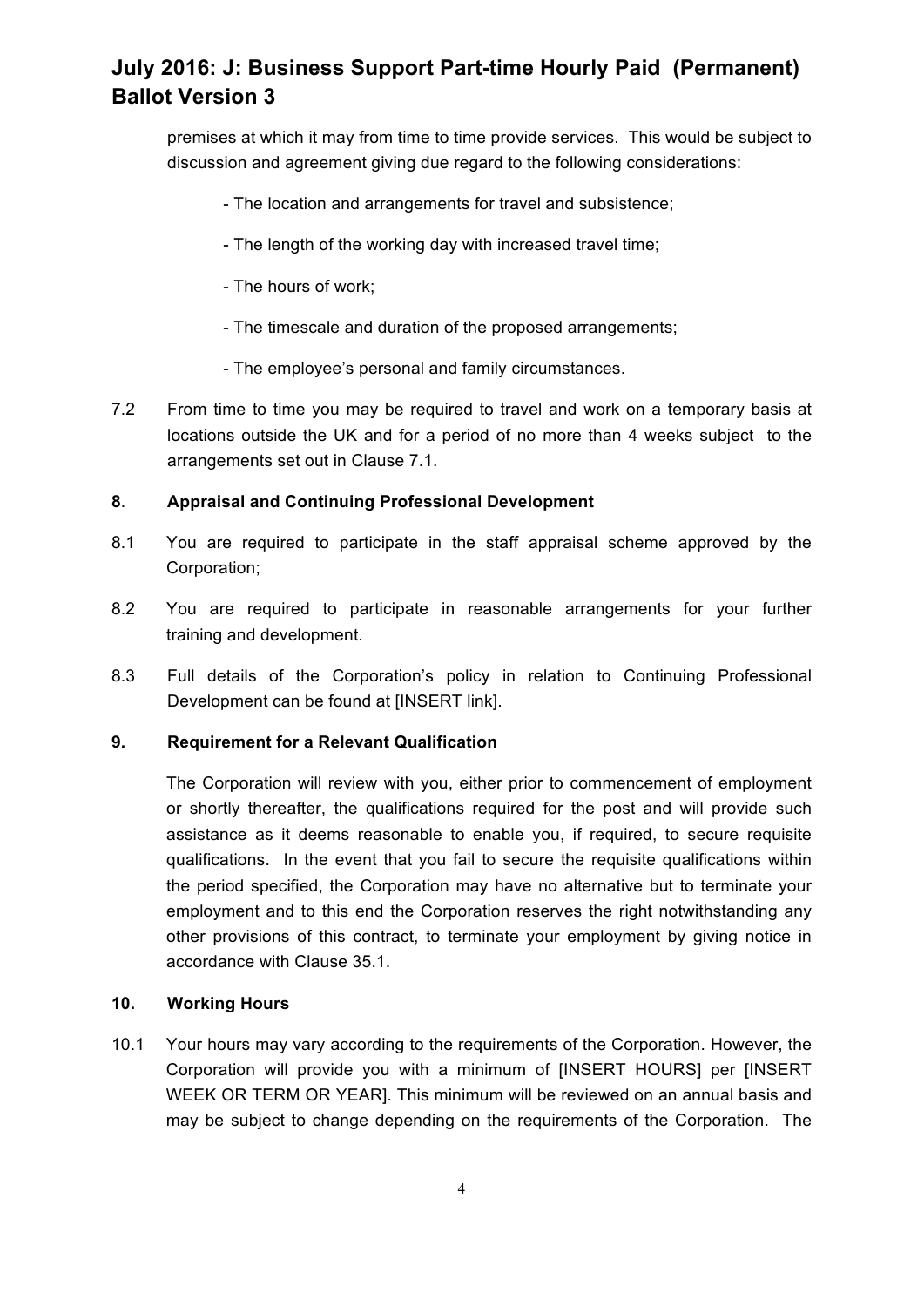premises at which it may from time to time provide services. This would be subject to discussion and agreement giving due regard to the following considerations:

- The location and arrangements for travel and subsistence;
- The length of the working day with increased travel time;
- The hours of work;
- The timescale and duration of the proposed arrangements;
- The employee's personal and family circumstances.
- 7.2 From time to time you may be required to travel and work on a temporary basis at locations outside the UK and for a period of no more than 4 weeks subject to the arrangements set out in Clause 7.1.

## **8**. **Appraisal and Continuing Professional Development**

- 8.1 You are required to participate in the staff appraisal scheme approved by the Corporation;
- 8.2 You are required to participate in reasonable arrangements for your further training and development.
- 8.3 Full details of the Corporation's policy in relation to Continuing Professional Development can be found at [INSERT link].

## **9. Requirement for a Relevant Qualification**

The Corporation will review with you, either prior to commencement of employment or shortly thereafter, the qualifications required for the post and will provide such assistance as it deems reasonable to enable you, if required, to secure requisite qualifications. In the event that you fail to secure the requisite qualifications within the period specified, the Corporation may have no alternative but to terminate your employment and to this end the Corporation reserves the right notwithstanding any other provisions of this contract, to terminate your employment by giving notice in accordance with Clause 35.1.

### **10. Working Hours**

10.1 Your hours may vary according to the requirements of the Corporation. However, the Corporation will provide you with a minimum of [INSERT HOURS] per [INSERT WEEK OR TERM OR YEAR]. This minimum will be reviewed on an annual basis and may be subject to change depending on the requirements of the Corporation. The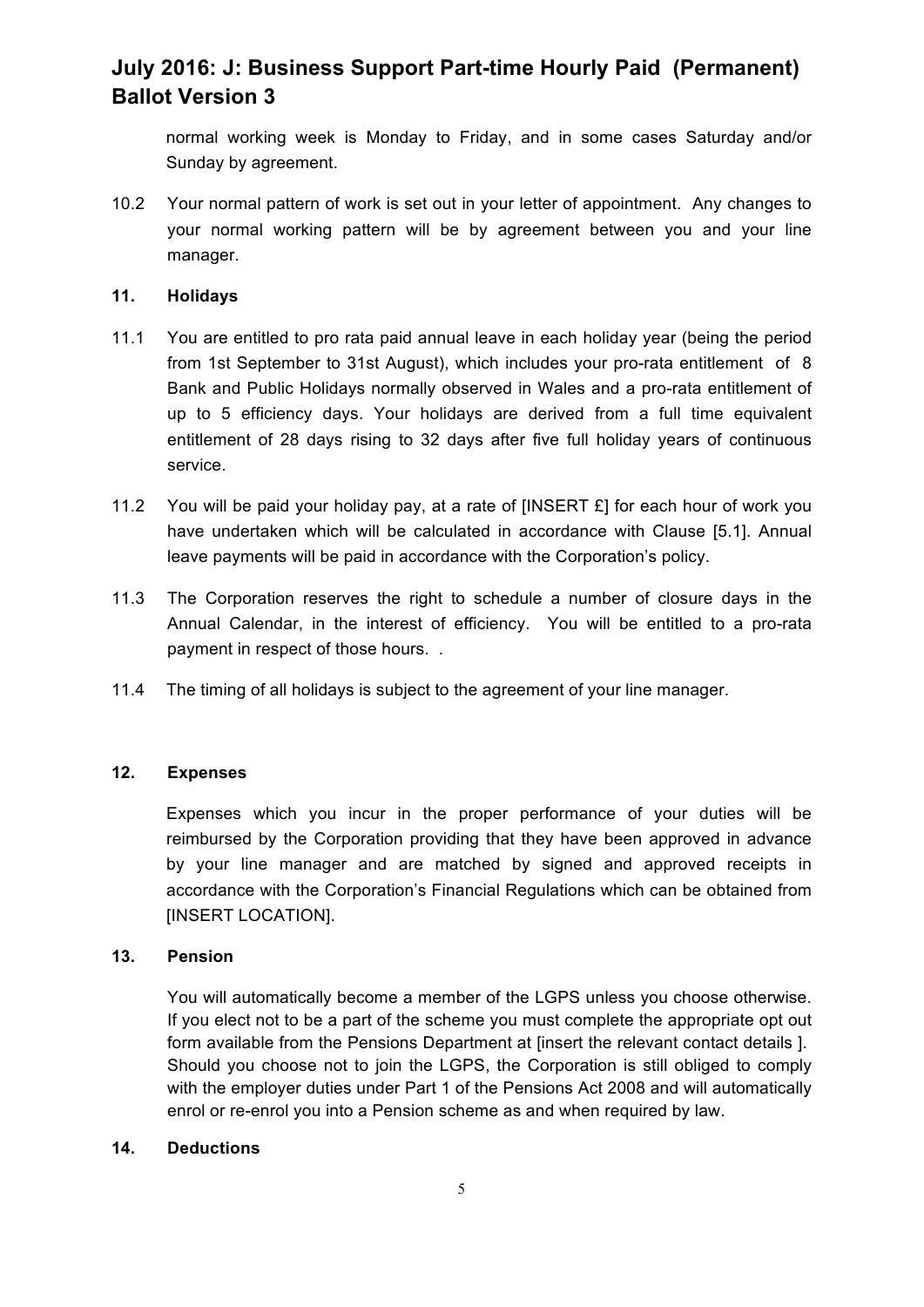normal working week is Monday to Friday, and in some cases Saturday and/or Sunday by agreement.

10.2 Your normal pattern of work is set out in your letter of appointment. Any changes to your normal working pattern will be by agreement between you and your line manager.

#### **11. Holidays**

- 11.1 You are entitled to pro rata paid annual leave in each holiday year (being the period from 1st September to 31st August), which includes your pro-rata entitlement of 8 Bank and Public Holidays normally observed in Wales and a pro-rata entitlement of up to 5 efficiency days. Your holidays are derived from a full time equivalent entitlement of 28 days rising to 32 days after five full holiday years of continuous service.
- 11.2 You will be paid your holiday pay, at a rate of [INSERT £] for each hour of work you have undertaken which will be calculated in accordance with Clause [5.1]. Annual leave payments will be paid in accordance with the Corporation's policy.
- 11.3 The Corporation reserves the right to schedule a number of closure days in the Annual Calendar, in the interest of efficiency. You will be entitled to a pro-rata payment in respect of those hours. .
- 11.4 The timing of all holidays is subject to the agreement of your line manager.

## **12. Expenses**

Expenses which you incur in the proper performance of your duties will be reimbursed by the Corporation providing that they have been approved in advance by your line manager and are matched by signed and approved receipts in accordance with the Corporation's Financial Regulations which can be obtained from [INSERT LOCATION].

### **13. Pension**

You will automatically become a member of the LGPS unless you choose otherwise. If you elect not to be a part of the scheme you must complete the appropriate opt out form available from the Pensions Department at [insert the relevant contact details ]. Should you choose not to join the LGPS, the Corporation is still obliged to comply with the employer duties under Part 1 of the Pensions Act 2008 and will automatically enrol or re-enrol you into a Pension scheme as and when required by law.

#### **14. Deductions**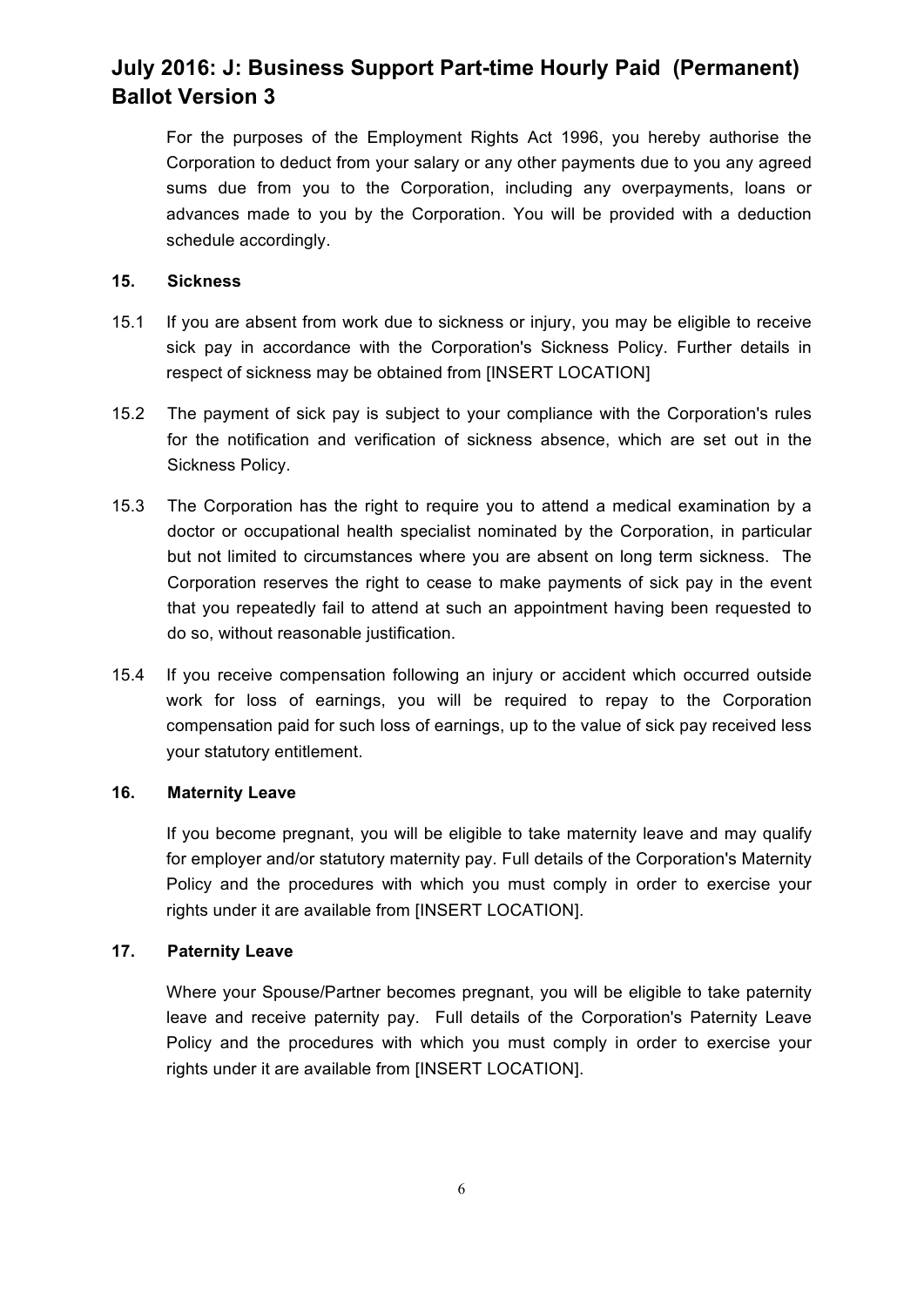For the purposes of the Employment Rights Act 1996, you hereby authorise the Corporation to deduct from your salary or any other payments due to you any agreed sums due from you to the Corporation, including any overpayments, loans or advances made to you by the Corporation. You will be provided with a deduction schedule accordingly.

#### **15. Sickness**

- 15.1 If you are absent from work due to sickness or injury, you may be eligible to receive sick pay in accordance with the Corporation's Sickness Policy. Further details in respect of sickness may be obtained from [INSERT LOCATION]
- 15.2 The payment of sick pay is subject to your compliance with the Corporation's rules for the notification and verification of sickness absence, which are set out in the Sickness Policy.
- 15.3 The Corporation has the right to require you to attend a medical examination by a doctor or occupational health specialist nominated by the Corporation, in particular but not limited to circumstances where you are absent on long term sickness. The Corporation reserves the right to cease to make payments of sick pay in the event that you repeatedly fail to attend at such an appointment having been requested to do so, without reasonable justification.
- 15.4 If you receive compensation following an injury or accident which occurred outside work for loss of earnings, you will be required to repay to the Corporation compensation paid for such loss of earnings, up to the value of sick pay received less your statutory entitlement.

## **16. Maternity Leave**

If you become pregnant, you will be eligible to take maternity leave and may qualify for employer and/or statutory maternity pay. Full details of the Corporation's Maternity Policy and the procedures with which you must comply in order to exercise your rights under it are available from [INSERT LOCATION].

### **17. Paternity Leave**

Where your Spouse/Partner becomes pregnant, you will be eligible to take paternity leave and receive paternity pay. Full details of the Corporation's Paternity Leave Policy and the procedures with which you must comply in order to exercise your rights under it are available from [INSERT LOCATION].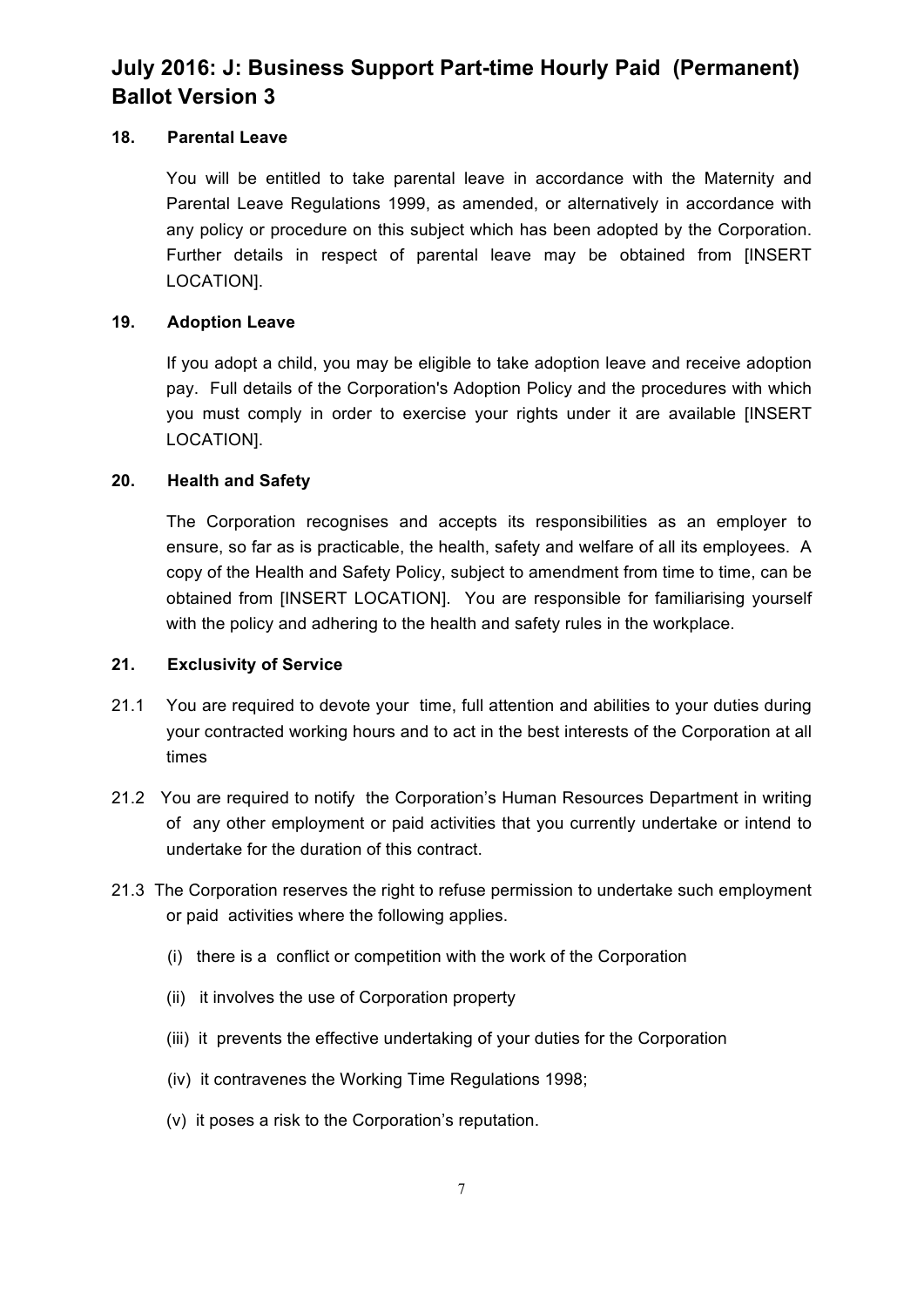## **18. Parental Leave**

You will be entitled to take parental leave in accordance with the Maternity and Parental Leave Regulations 1999, as amended, or alternatively in accordance with any policy or procedure on this subject which has been adopted by the Corporation. Further details in respect of parental leave may be obtained from [INSERT LOCATION].

## **19. Adoption Leave**

If you adopt a child, you may be eligible to take adoption leave and receive adoption pay. Full details of the Corporation's Adoption Policy and the procedures with which you must comply in order to exercise your rights under it are available [INSERT LOCATION].

## **20. Health and Safety**

The Corporation recognises and accepts its responsibilities as an employer to ensure, so far as is practicable, the health, safety and welfare of all its employees. A copy of the Health and Safety Policy, subject to amendment from time to time, can be obtained from [INSERT LOCATION]. You are responsible for familiarising yourself with the policy and adhering to the health and safety rules in the workplace.

### **21. Exclusivity of Service**

- 21.1 You are required to devote your time, full attention and abilities to your duties during your contracted working hours and to act in the best interests of the Corporation at all times
- 21.2 You are required to notify the Corporation's Human Resources Department in writing of any other employment or paid activities that you currently undertake or intend to undertake for the duration of this contract.
- 21.3 The Corporation reserves the right to refuse permission to undertake such employment or paid activities where the following applies.
	- (i) there is a conflict or competition with the work of the Corporation
	- (ii) it involves the use of Corporation property
	- (iii) it prevents the effective undertaking of your duties for the Corporation
	- (iv) it contravenes the Working Time Regulations 1998;
	- (v) it poses a risk to the Corporation's reputation.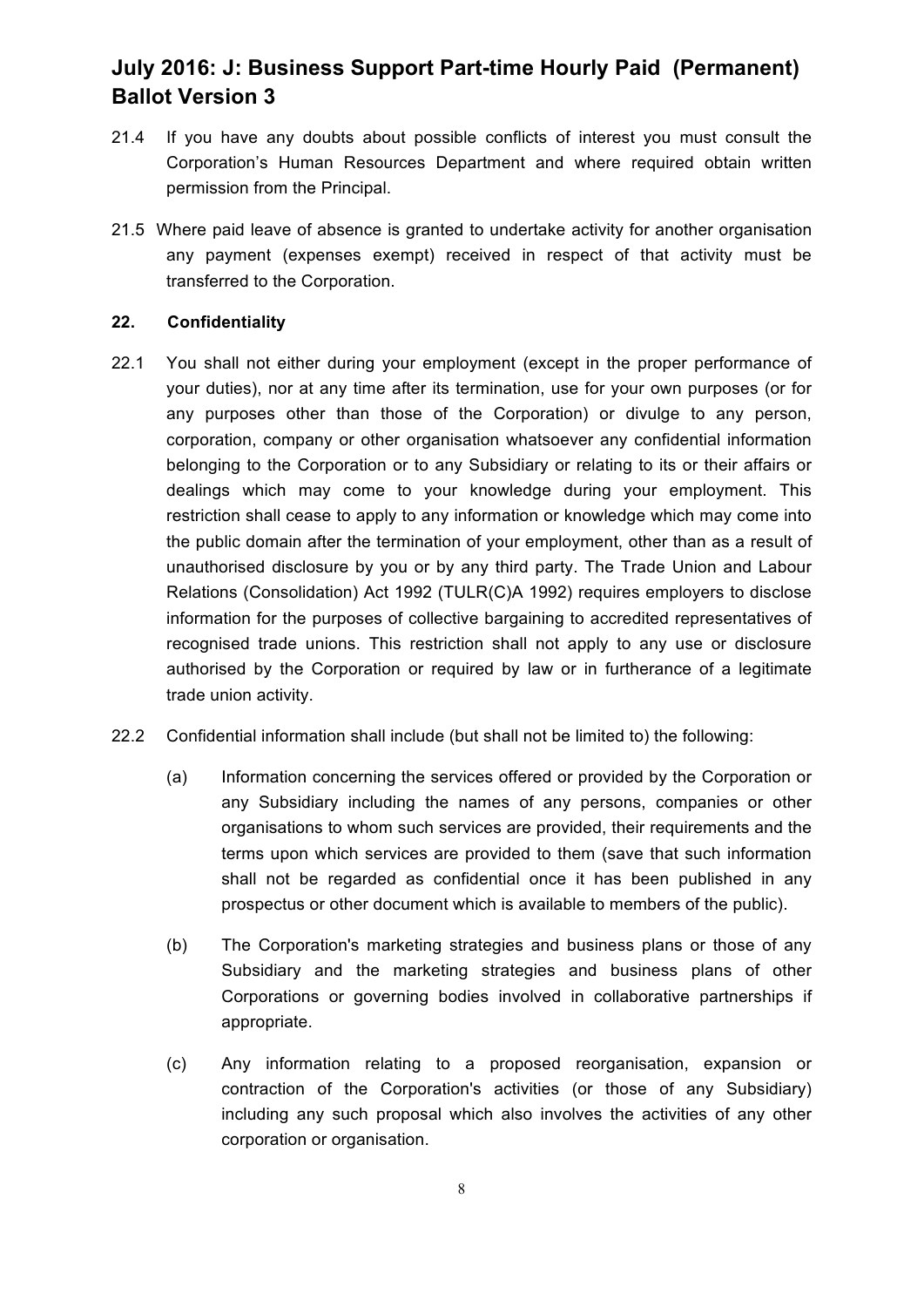- 21.4 If you have any doubts about possible conflicts of interest you must consult the Corporation's Human Resources Department and where required obtain written permission from the Principal.
- 21.5 Where paid leave of absence is granted to undertake activity for another organisation any payment (expenses exempt) received in respect of that activity must be transferred to the Corporation.

### **22. Confidentiality**

- 22.1 You shall not either during your employment (except in the proper performance of your duties), nor at any time after its termination, use for your own purposes (or for any purposes other than those of the Corporation) or divulge to any person, corporation, company or other organisation whatsoever any confidential information belonging to the Corporation or to any Subsidiary or relating to its or their affairs or dealings which may come to your knowledge during your employment. This restriction shall cease to apply to any information or knowledge which may come into the public domain after the termination of your employment, other than as a result of unauthorised disclosure by you or by any third party. The Trade Union and Labour Relations (Consolidation) Act 1992 (TULR(C)A 1992) requires employers to disclose information for the purposes of collective bargaining to accredited representatives of recognised trade unions. This restriction shall not apply to any use or disclosure authorised by the Corporation or required by law or in furtherance of a legitimate trade union activity.
- 22.2 Confidential information shall include (but shall not be limited to) the following:
	- (a) Information concerning the services offered or provided by the Corporation or any Subsidiary including the names of any persons, companies or other organisations to whom such services are provided, their requirements and the terms upon which services are provided to them (save that such information shall not be regarded as confidential once it has been published in any prospectus or other document which is available to members of the public).
	- (b) The Corporation's marketing strategies and business plans or those of any Subsidiary and the marketing strategies and business plans of other Corporations or governing bodies involved in collaborative partnerships if appropriate.
	- (c) Any information relating to a proposed reorganisation, expansion or contraction of the Corporation's activities (or those of any Subsidiary) including any such proposal which also involves the activities of any other corporation or organisation.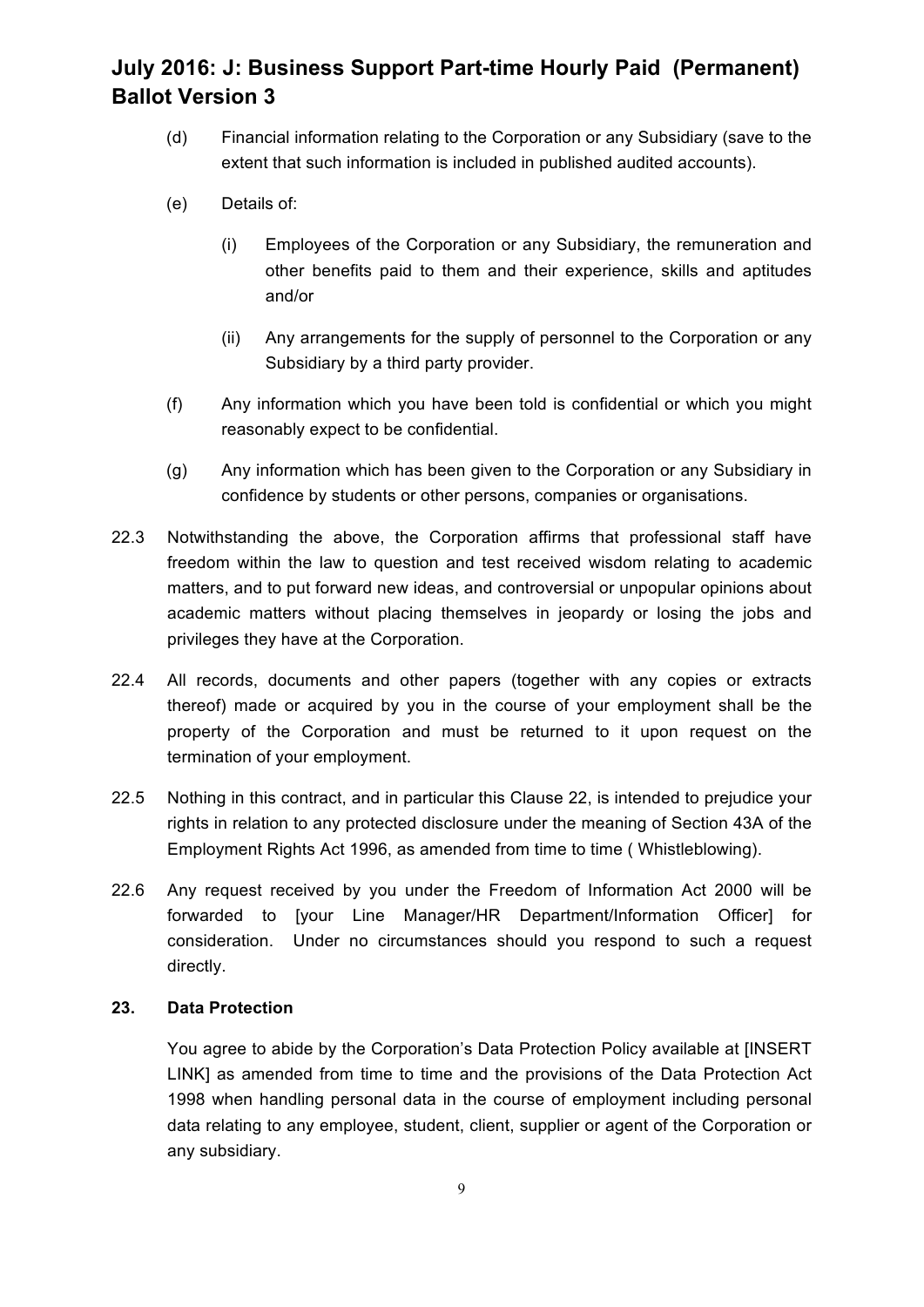- (d) Financial information relating to the Corporation or any Subsidiary (save to the extent that such information is included in published audited accounts).
- (e) Details of:
	- (i) Employees of the Corporation or any Subsidiary, the remuneration and other benefits paid to them and their experience, skills and aptitudes and/or
	- (ii) Any arrangements for the supply of personnel to the Corporation or any Subsidiary by a third party provider.
- (f) Any information which you have been told is confidential or which you might reasonably expect to be confidential.
- (g) Any information which has been given to the Corporation or any Subsidiary in confidence by students or other persons, companies or organisations.
- 22.3 Notwithstanding the above, the Corporation affirms that professional staff have freedom within the law to question and test received wisdom relating to academic matters, and to put forward new ideas, and controversial or unpopular opinions about academic matters without placing themselves in jeopardy or losing the jobs and privileges they have at the Corporation.
- 22.4 All records, documents and other papers (together with any copies or extracts thereof) made or acquired by you in the course of your employment shall be the property of the Corporation and must be returned to it upon request on the termination of your employment.
- 22.5 Nothing in this contract, and in particular this Clause 22, is intended to prejudice your rights in relation to any protected disclosure under the meaning of Section 43A of the Employment Rights Act 1996, as amended from time to time ( Whistleblowing).
- 22.6 Any request received by you under the Freedom of Information Act 2000 will be forwarded to [your Line Manager/HR Department/Information Officer] for consideration. Under no circumstances should you respond to such a request directly.

### **23. Data Protection**

You agree to abide by the Corporation's Data Protection Policy available at [INSERT LINK] as amended from time to time and the provisions of the Data Protection Act 1998 when handling personal data in the course of employment including personal data relating to any employee, student, client, supplier or agent of the Corporation or any subsidiary.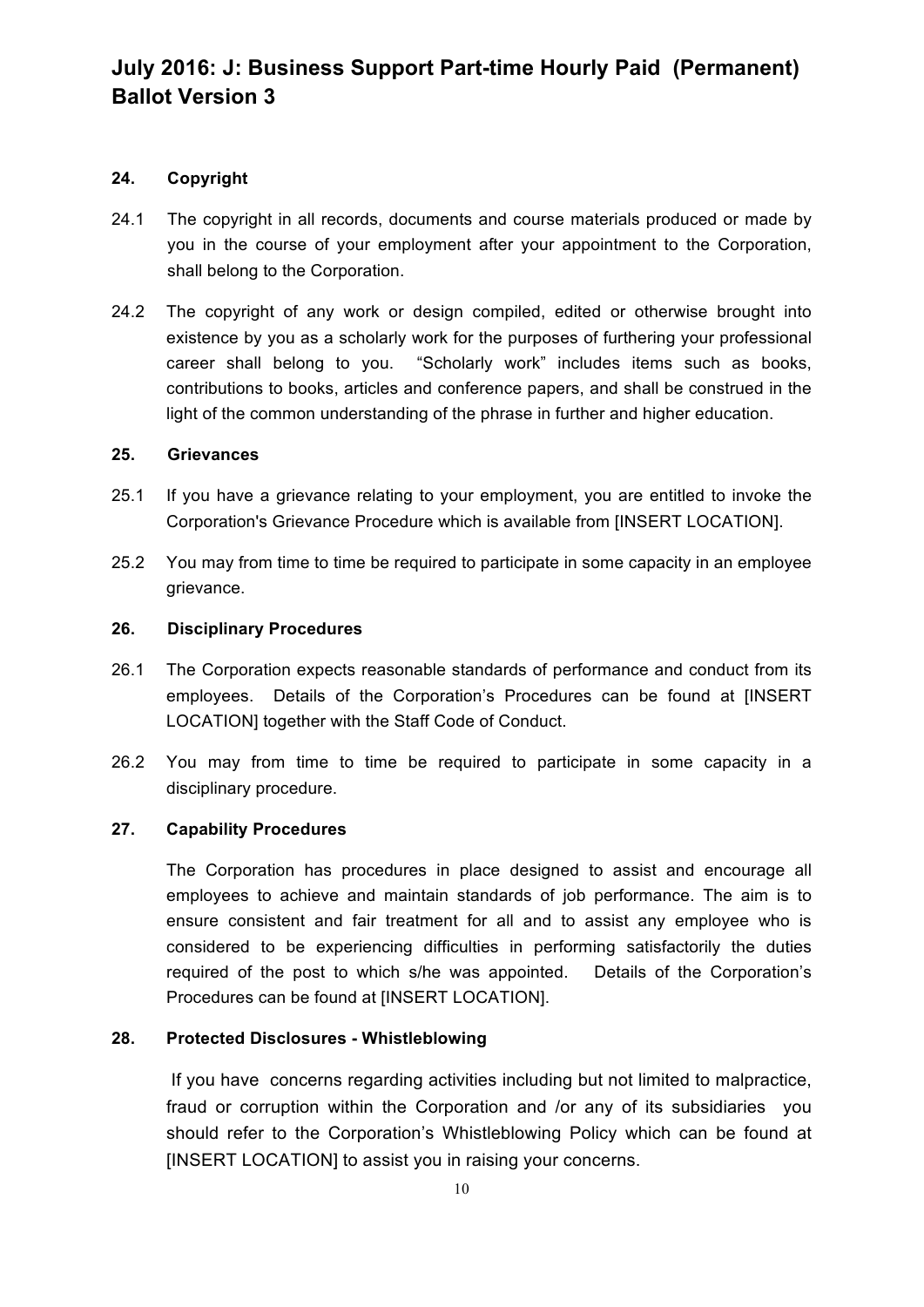## **24. Copyright**

- 24.1 The copyright in all records, documents and course materials produced or made by you in the course of your employment after your appointment to the Corporation, shall belong to the Corporation.
- 24.2 The copyright of any work or design compiled, edited or otherwise brought into existence by you as a scholarly work for the purposes of furthering your professional career shall belong to you. "Scholarly work" includes items such as books, contributions to books, articles and conference papers, and shall be construed in the light of the common understanding of the phrase in further and higher education.

#### **25. Grievances**

- 25.1 If you have a grievance relating to your employment, you are entitled to invoke the Corporation's Grievance Procedure which is available from [INSERT LOCATION].
- 25.2 You may from time to time be required to participate in some capacity in an employee grievance.

#### **26. Disciplinary Procedures**

- 26.1 The Corporation expects reasonable standards of performance and conduct from its employees. Details of the Corporation's Procedures can be found at [INSERT LOCATION] together with the Staff Code of Conduct.
- 26.2 You may from time to time be required to participate in some capacity in a disciplinary procedure.

## **27. Capability Procedures**

The Corporation has procedures in place designed to assist and encourage all employees to achieve and maintain standards of job performance. The aim is to ensure consistent and fair treatment for all and to assist any employee who is considered to be experiencing difficulties in performing satisfactorily the duties required of the post to which s/he was appointed. Details of the Corporation's Procedures can be found at IINSERT LOCATION].

### **28. Protected Disclosures - Whistleblowing**

If you have concerns regarding activities including but not limited to malpractice, fraud or corruption within the Corporation and /or any of its subsidiaries you should refer to the Corporation's Whistleblowing Policy which can be found at [INSERT LOCATION] to assist you in raising your concerns.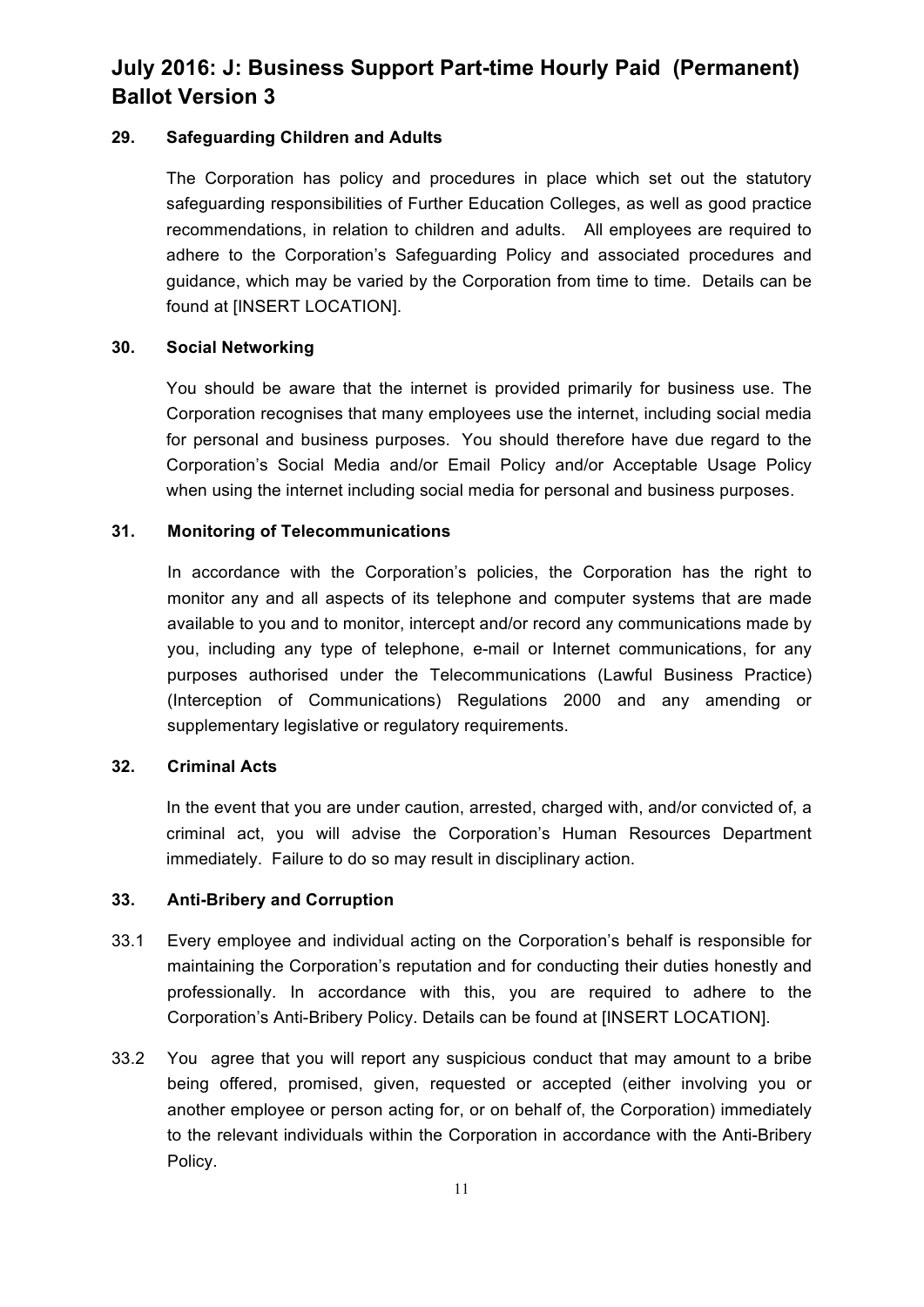## **29. Safeguarding Children and Adults**

The Corporation has policy and procedures in place which set out the statutory safeguarding responsibilities of Further Education Colleges, as well as good practice recommendations, in relation to children and adults. All employees are required to adhere to the Corporation's Safeguarding Policy and associated procedures and guidance, which may be varied by the Corporation from time to time. Details can be found at [INSERT LOCATION].

### **30. Social Networking**

You should be aware that the internet is provided primarily for business use. The Corporation recognises that many employees use the internet, including social media for personal and business purposes. You should therefore have due regard to the Corporation's Social Media and/or Email Policy and/or Acceptable Usage Policy when using the internet including social media for personal and business purposes.

## **31. Monitoring of Telecommunications**

In accordance with the Corporation's policies, the Corporation has the right to monitor any and all aspects of its telephone and computer systems that are made available to you and to monitor, intercept and/or record any communications made by you, including any type of telephone, e-mail or Internet communications, for any purposes authorised under the Telecommunications (Lawful Business Practice) (Interception of Communications) Regulations 2000 and any amending or supplementary legislative or regulatory requirements.

### **32. Criminal Acts**

In the event that you are under caution, arrested, charged with, and/or convicted of, a criminal act, you will advise the Corporation's Human Resources Department immediately. Failure to do so may result in disciplinary action.

### **33. Anti-Bribery and Corruption**

- 33.1 Every employee and individual acting on the Corporation's behalf is responsible for maintaining the Corporation's reputation and for conducting their duties honestly and professionally. In accordance with this, you are required to adhere to the Corporation's Anti-Bribery Policy. Details can be found at [INSERT LOCATION].
- 33.2 You agree that you will report any suspicious conduct that may amount to a bribe being offered, promised, given, requested or accepted (either involving you or another employee or person acting for, or on behalf of, the Corporation) immediately to the relevant individuals within the Corporation in accordance with the Anti-Bribery Policy.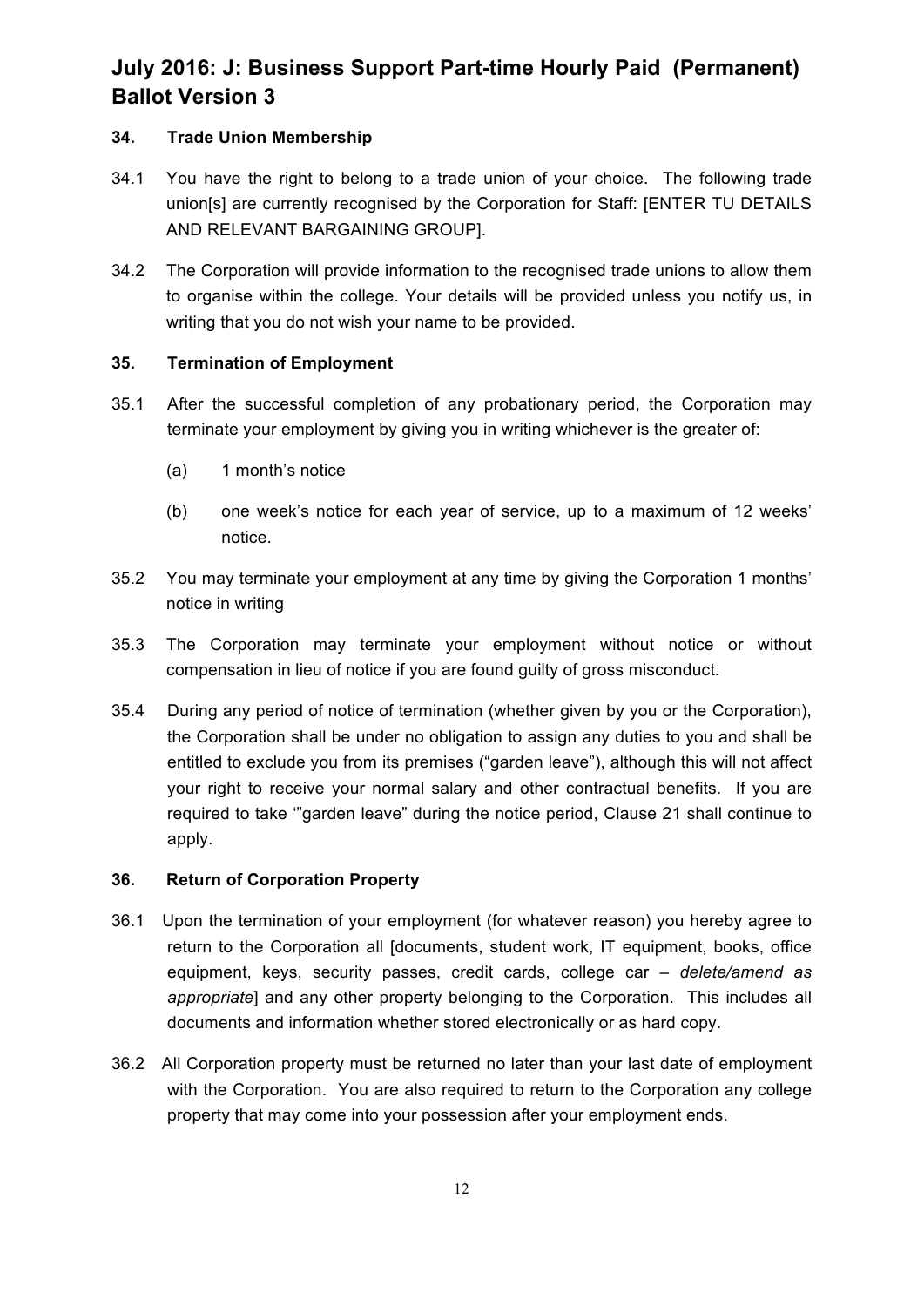## **34. Trade Union Membership**

- 34.1 You have the right to belong to a trade union of your choice. The following trade union[s] are currently recognised by the Corporation for Staff: [ENTER TU DETAILS AND RELEVANT BARGAINING GROUP].
- 34.2 The Corporation will provide information to the recognised trade unions to allow them to organise within the college. Your details will be provided unless you notify us, in writing that you do not wish your name to be provided.

## **35. Termination of Employment**

- 35.1 After the successful completion of any probationary period, the Corporation may terminate your employment by giving you in writing whichever is the greater of:
	- (a) 1 month's notice
	- (b) one week's notice for each year of service, up to a maximum of 12 weeks' notice.
- 35.2 You may terminate your employment at any time by giving the Corporation 1 months' notice in writing
- 35.3 The Corporation may terminate your employment without notice or without compensation in lieu of notice if you are found guilty of gross misconduct.
- 35.4 During any period of notice of termination (whether given by you or the Corporation), the Corporation shall be under no obligation to assign any duties to you and shall be entitled to exclude you from its premises ("garden leave"), although this will not affect your right to receive your normal salary and other contractual benefits. If you are required to take '"garden leave" during the notice period, Clause 21 shall continue to apply.

### **36. Return of Corporation Property**

- 36.1 Upon the termination of your employment (for whatever reason) you hereby agree to return to the Corporation all [documents, student work, IT equipment, books, office equipment, keys, security passes, credit cards, college car *– delete/amend as appropriate*] and any other property belonging to the Corporation. This includes all documents and information whether stored electronically or as hard copy.
- 36.2 All Corporation property must be returned no later than your last date of employment with the Corporation. You are also required to return to the Corporation any college property that may come into your possession after your employment ends.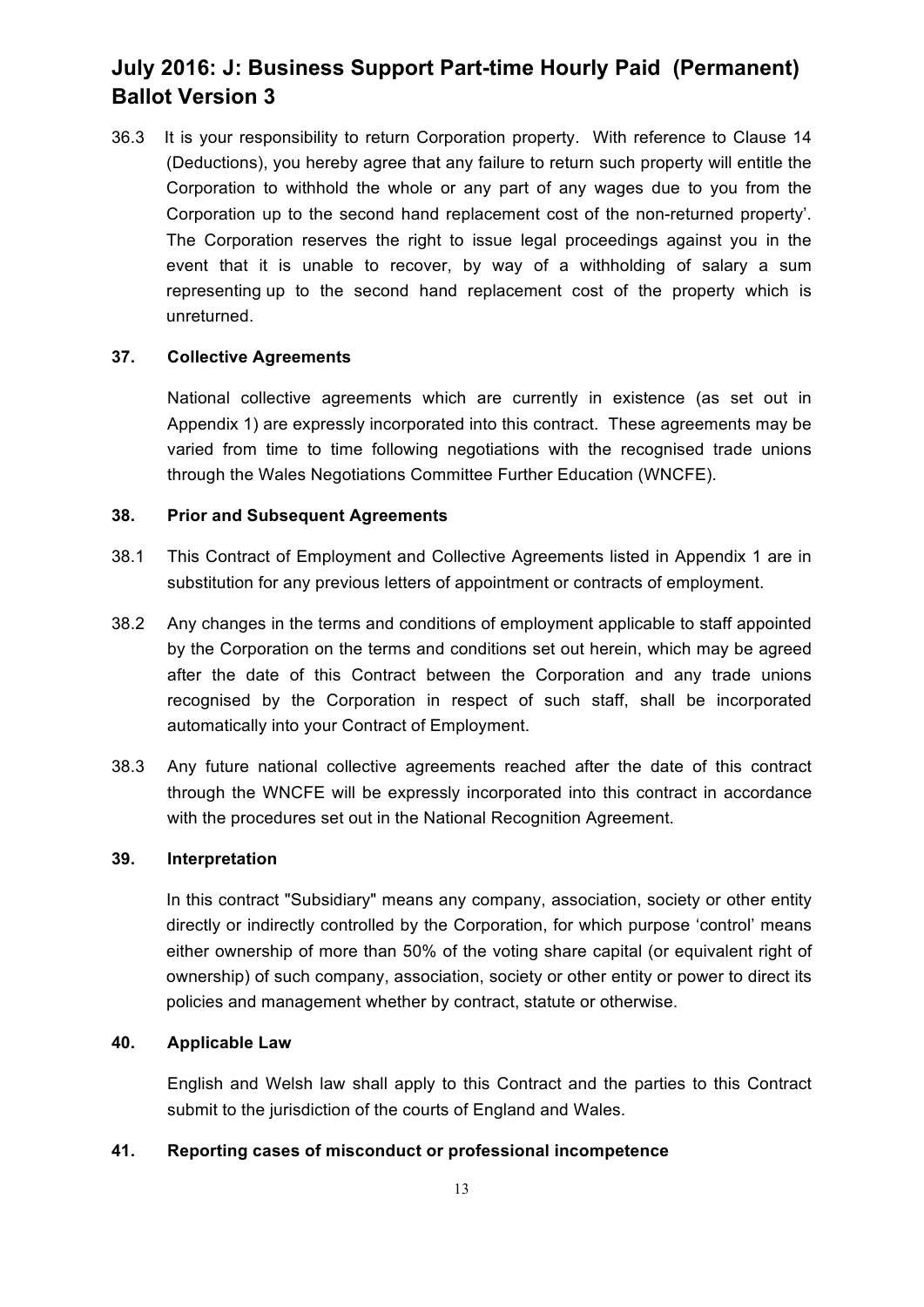36.3 It is your responsibility to return Corporation property. With reference to Clause 14 (Deductions), you hereby agree that any failure to return such property will entitle the Corporation to withhold the whole or any part of any wages due to you from the Corporation up to the second hand replacement cost of the non-returned property'. The Corporation reserves the right to issue legal proceedings against you in the event that it is unable to recover, by way of a withholding of salary a sum representing up to the second hand replacement cost of the property which is unreturned.

#### **37. Collective Agreements**

National collective agreements which are currently in existence (as set out in Appendix 1) are expressly incorporated into this contract. These agreements may be varied from time to time following negotiations with the recognised trade unions through the Wales Negotiations Committee Further Education (WNCFE).

#### **38. Prior and Subsequent Agreements**

- 38.1 This Contract of Employment and Collective Agreements listed in Appendix 1 are in substitution for any previous letters of appointment or contracts of employment.
- 38.2 Any changes in the terms and conditions of employment applicable to staff appointed by the Corporation on the terms and conditions set out herein, which may be agreed after the date of this Contract between the Corporation and any trade unions recognised by the Corporation in respect of such staff, shall be incorporated automatically into your Contract of Employment.
- 38.3 Any future national collective agreements reached after the date of this contract through the WNCFE will be expressly incorporated into this contract in accordance with the procedures set out in the National Recognition Agreement.

#### **39. Interpretation**

In this contract "Subsidiary" means any company, association, society or other entity directly or indirectly controlled by the Corporation, for which purpose 'control' means either ownership of more than 50% of the voting share capital (or equivalent right of ownership) of such company, association, society or other entity or power to direct its policies and management whether by contract, statute or otherwise.

#### **40. Applicable Law**

English and Welsh law shall apply to this Contract and the parties to this Contract submit to the jurisdiction of the courts of England and Wales.

## **41. Reporting cases of misconduct or professional incompetence**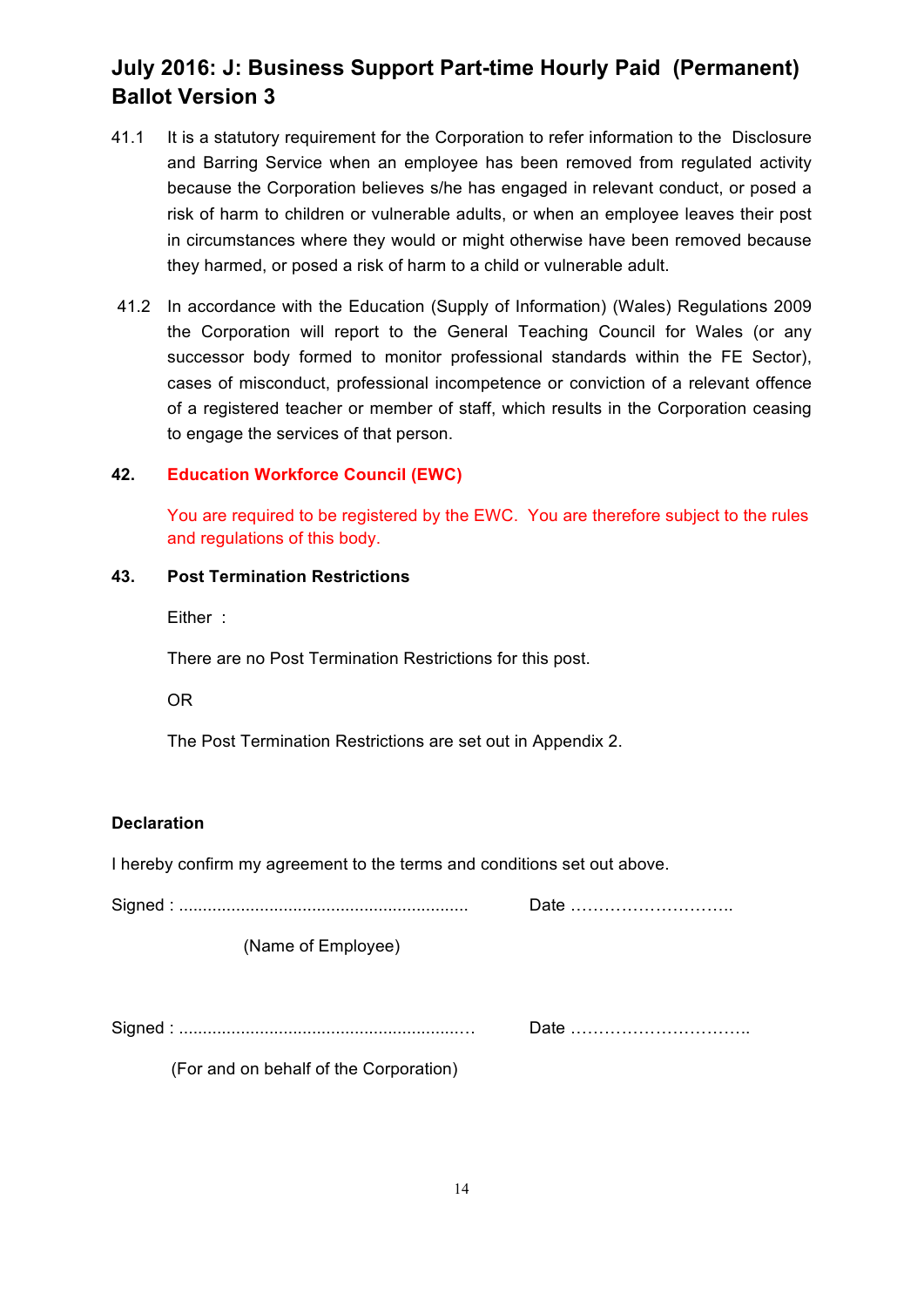- 41.1 It is a statutory requirement for the Corporation to refer information to the Disclosure and Barring Service when an employee has been removed from regulated activity because the Corporation believes s/he has engaged in relevant conduct, or posed a risk of harm to children or vulnerable adults, or when an employee leaves their post in circumstances where they would or might otherwise have been removed because they harmed, or posed a risk of harm to a child or vulnerable adult.
- 41.2 In accordance with the Education (Supply of Information) (Wales) Regulations 2009 the Corporation will report to the General Teaching Council for Wales (or any successor body formed to monitor professional standards within the FE Sector), cases of misconduct, professional incompetence or conviction of a relevant offence of a registered teacher or member of staff, which results in the Corporation ceasing to engage the services of that person.

#### **42. Education Workforce Council (EWC)**

You are required to be registered by the EWC. You are therefore subject to the rules and regulations of this body.

## **43. Post Termination Restrictions**

Either :

There are no Post Termination Restrictions for this post.

OR

The Post Termination Restrictions are set out in Appendix 2.

### **Declaration**

I hereby confirm my agreement to the terms and conditions set out above.

Signed : ............................................................. Date ………………………..

(Name of Employee)

Signed : ...........................................................… Date …………………………..

(For and on behalf of the Corporation)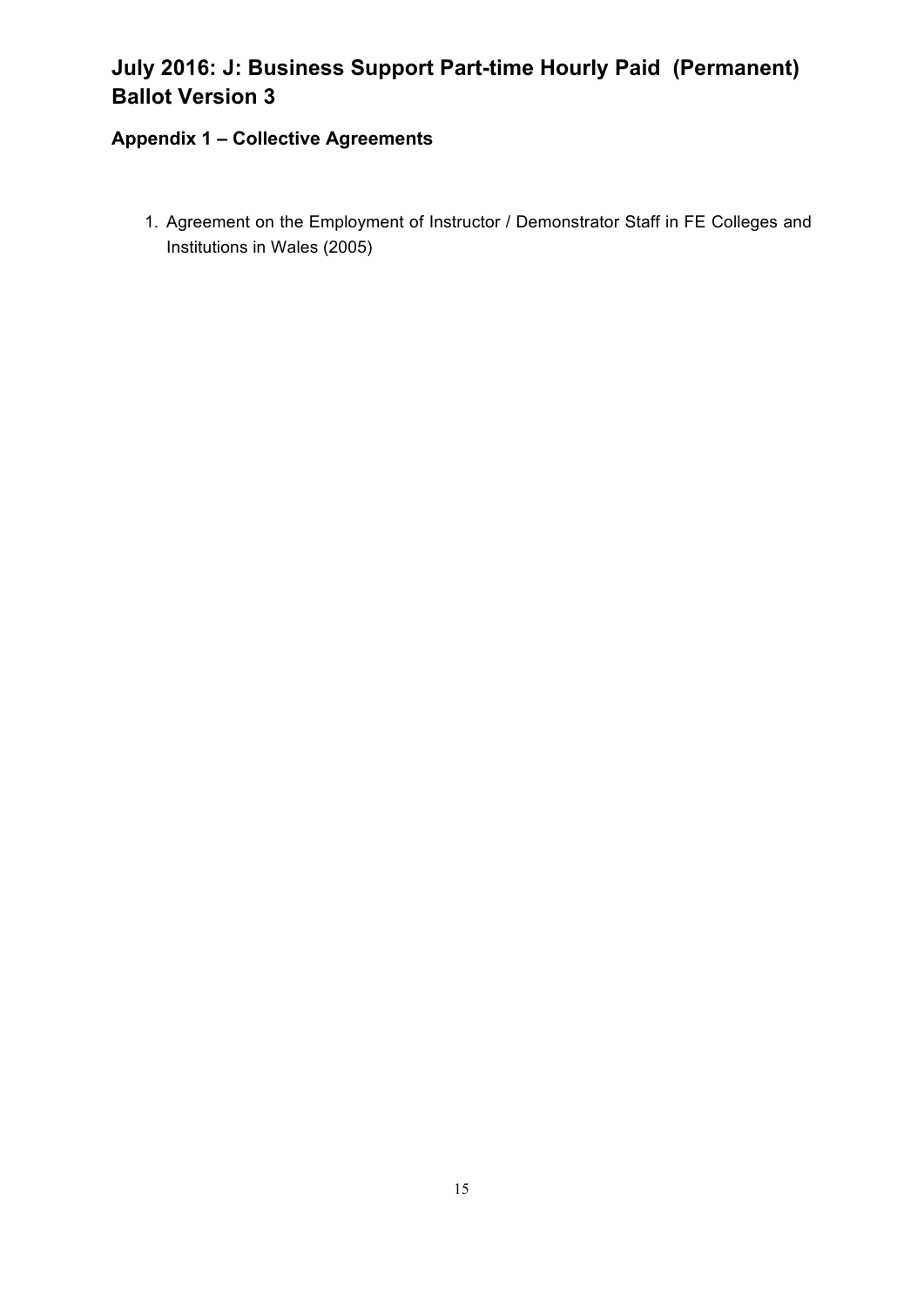## **Appendix 1 – Collective Agreements**

1. Agreement on the Employment of Instructor / Demonstrator Staff in FE Colleges and Institutions in Wales (2005)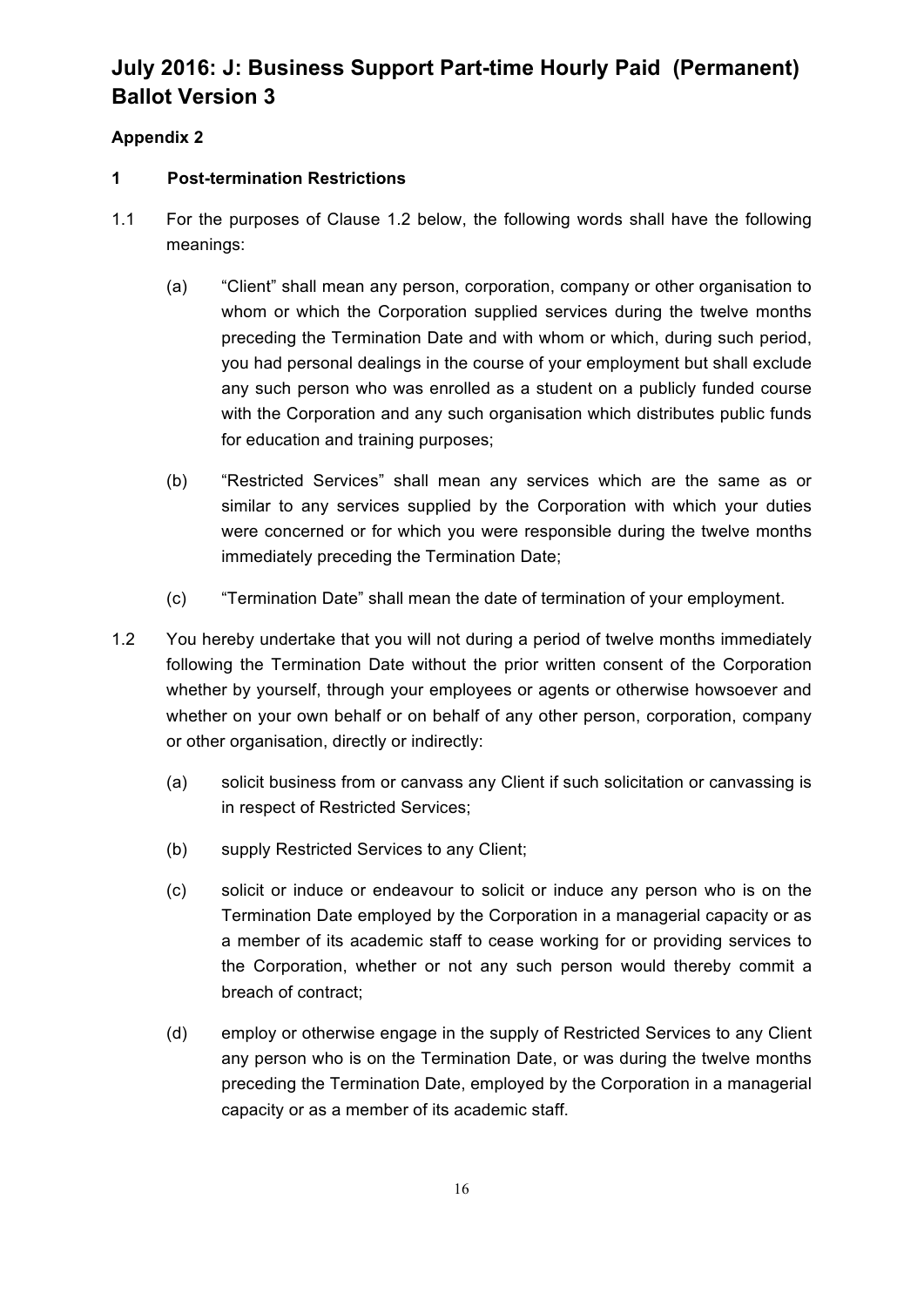## **Appendix 2**

## **1 Post-termination Restrictions**

- 1.1 For the purposes of Clause 1.2 below, the following words shall have the following meanings:
	- (a) "Client" shall mean any person, corporation, company or other organisation to whom or which the Corporation supplied services during the twelve months preceding the Termination Date and with whom or which, during such period, you had personal dealings in the course of your employment but shall exclude any such person who was enrolled as a student on a publicly funded course with the Corporation and any such organisation which distributes public funds for education and training purposes;
	- (b) "Restricted Services" shall mean any services which are the same as or similar to any services supplied by the Corporation with which your duties were concerned or for which you were responsible during the twelve months immediately preceding the Termination Date;
	- (c) "Termination Date" shall mean the date of termination of your employment.
- 1.2 You hereby undertake that you will not during a period of twelve months immediately following the Termination Date without the prior written consent of the Corporation whether by yourself, through your employees or agents or otherwise howsoever and whether on your own behalf or on behalf of any other person, corporation, company or other organisation, directly or indirectly:
	- (a) solicit business from or canvass any Client if such solicitation or canvassing is in respect of Restricted Services;
	- (b) supply Restricted Services to any Client;
	- (c) solicit or induce or endeavour to solicit or induce any person who is on the Termination Date employed by the Corporation in a managerial capacity or as a member of its academic staff to cease working for or providing services to the Corporation, whether or not any such person would thereby commit a breach of contract;
	- (d) employ or otherwise engage in the supply of Restricted Services to any Client any person who is on the Termination Date, or was during the twelve months preceding the Termination Date, employed by the Corporation in a managerial capacity or as a member of its academic staff.